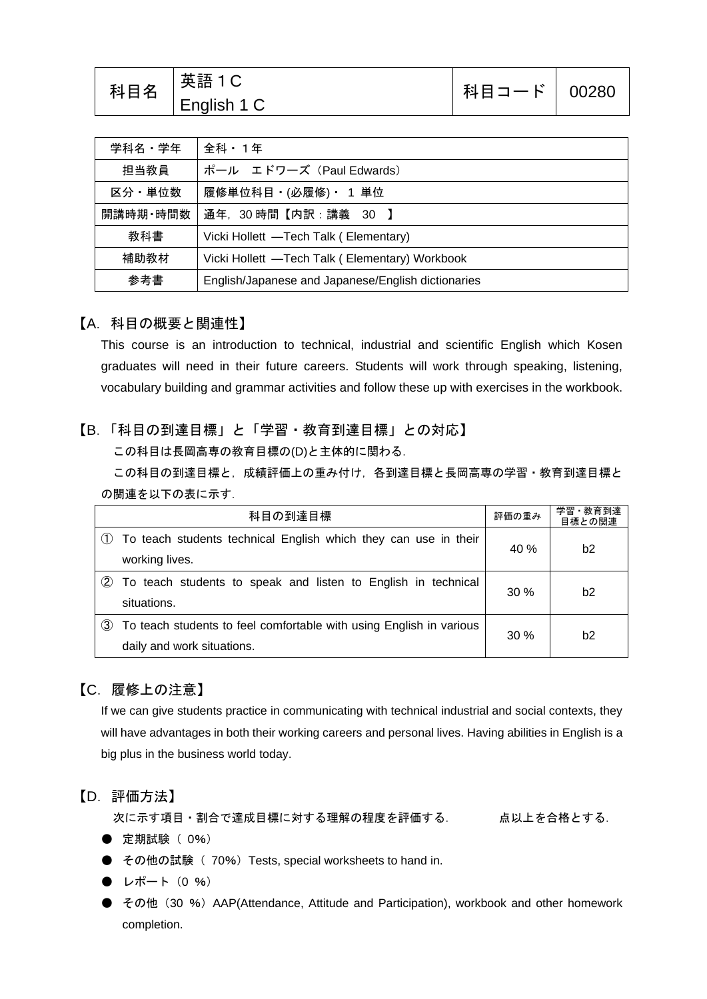| 科目名 | 英語 1 C<br>English 1 C | 科目コード   00280 |  |
|-----|-----------------------|---------------|--|
|     |                       |               |  |

| 学科名・学年   | 全科・1年                                              |  |
|----------|----------------------------------------------------|--|
| 担当教員     | ポール エドワーズ (Paul Edwards)                           |  |
| 区分·単位数   | 履修単位科目・(必履修)・ 1 単位                                 |  |
| 開講時期·時間数 | 通年,30時間【内訳:講義 30 】                                 |  |
| 教科書      | Vicki Hollett -Tech Talk (Elementary)              |  |
| 補助教材     | Vicki Hollett -Tech Talk (Elementary) Workbook     |  |
| 参考書      | English/Japanese and Japanese/English dictionaries |  |

#### 【A.科目の概要と関連性】

This course is an introduction to technical, industrial and scientific English which Kosen graduates will need in their future careers. Students will work through speaking, listening, vocabulary building and grammar activities and follow these up with exercises in the workbook.

#### 【B.「科目の到達目標」と「学習・教育到達目標」との対応】

この科目は長岡高専の教育目標の(D)と主体的に関わる.

この科目の到達目標と,成績評価上の重み付け,各到達目標と長岡高専の学習・教育到達目標と の関連を以下の表に示す.

| 科目の到達目標 |                                                                     | 評価の重み  | 学習·教育到達<br>目標との関連 |
|---------|---------------------------------------------------------------------|--------|-------------------|
|         | To teach students technical English which they can use in their     | 40 %   | b2                |
|         | working lives.                                                      |        |                   |
| (2)     | To teach students to speak and listen to English in technical       | 30%    | b2                |
|         | situations.                                                         |        |                   |
| (3)     | To teach students to feel comfortable with using English in various | $30\%$ | b <sub>2</sub>    |
|         | daily and work situations.                                          |        |                   |

### 【C.履修上の注意】

If we can give students practice in communicating with technical industrial and social contexts, they will have advantages in both their working careers and personal lives. Having abilities in English is a big plus in the business world today.

#### 【D.評価方法】

次に示す項目・割合で達成目標に対する理解の程度を評価する. 点以上を合格とする.

- 定期試験 ( 0%)
- その他の試験 (70%) Tests, special worksheets to hand in.
- $\bullet$  レポート (0 %)
- その他 (30 %) AAP(Attendance, Attitude and Participation), workbook and other homework completion.